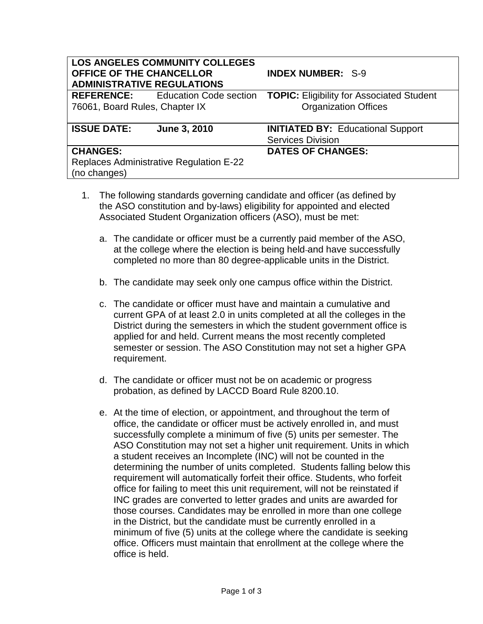| <b>LOS ANGELES COMMUNITY COLLEGES</b><br>OFFICE OF THE CHANCELLOR<br><b>INDEX NUMBER: S-9</b><br><b>ADMINISTRATIVE REGULATIONS</b> |                                          |                                                                      |
|------------------------------------------------------------------------------------------------------------------------------------|------------------------------------------|----------------------------------------------------------------------|
|                                                                                                                                    | <b>REFERENCE:</b> Education Code section | <b>TOPIC: Eligibility for Associated Student</b>                     |
| 76061, Board Rules, Chapter IX                                                                                                     |                                          | <b>Organization Offices</b>                                          |
| <b>ISSUE DATE:</b>                                                                                                                 | June 3, 2010                             | <b>INITIATED BY: Educational Support</b><br><b>Services Division</b> |
| <b>CHANGES:</b>                                                                                                                    |                                          | <b>DATES OF CHANGES:</b>                                             |
| <b>Replaces Administrative Regulation E-22</b><br>(no changes)                                                                     |                                          |                                                                      |

- 1. The following standards governing candidate and officer (as defined by the ASO constitution and by-laws) eligibility for appointed and elected Associated Student Organization officers (ASO), must be met:
	- a. The candidate or officer must be a currently paid member of the ASO, at the college where the election is being held and have successfully completed no more than 80 degree-applicable units in the District.
	- b. The candidate may seek only one campus office within the District.
	- c. The candidate or officer must have and maintain a cumulative and current GPA of at least 2.0 in units completed at all the colleges in the District during the semesters in which the student government office is applied for and held. Current means the most recently completed semester or session. The ASO Constitution may not set a higher GPA requirement.
	- d. The candidate or officer must not be on academic or progress probation, as defined by LACCD Board Rule 8200.10.
	- e. At the time of election, or appointment, and throughout the term of office, the candidate or officer must be actively enrolled in, and must successfully complete a minimum of five (5) units per semester. The ASO Constitution may not set a higher unit requirement. Units in which a student receives an Incomplete (INC) will not be counted in the determining the number of units completed. Students falling below this requirement will automatically forfeit their office. Students, who forfeit office for failing to meet this unit requirement, will not be reinstated if INC grades are converted to letter grades and units are awarded for those courses. Candidates may be enrolled in more than one college in the District, but the candidate must be currently enrolled in a minimum of five (5) units at the college where the candidate is seeking office. Officers must maintain that enrollment at the college where the office is held.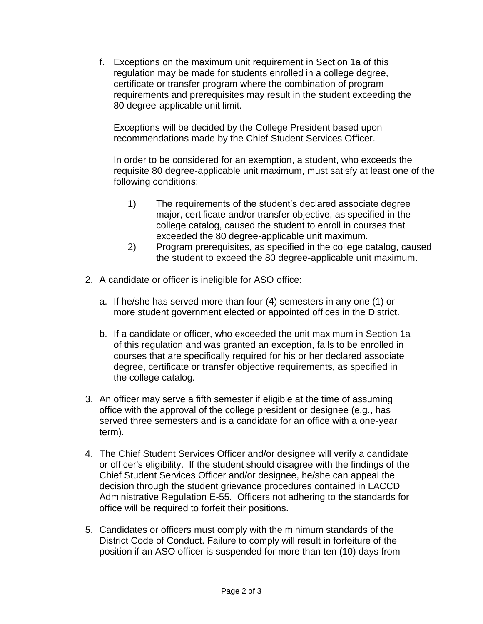f. Exceptions on the maximum unit requirement in Section 1a of this regulation may be made for students enrolled in a college degree, certificate or transfer program where the combination of program requirements and prerequisites may result in the student exceeding the 80 degree-applicable unit limit.

Exceptions will be decided by the College President based upon recommendations made by the Chief Student Services Officer.

In order to be considered for an exemption, a student, who exceeds the requisite 80 degree-applicable unit maximum, must satisfy at least one of the following conditions:

- 1) The requirements of the student's declared associate degree major, certificate and/or transfer objective, as specified in the college catalog, caused the student to enroll in courses that exceeded the 80 degree-applicable unit maximum.
- 2) Program prerequisites, as specified in the college catalog, caused the student to exceed the 80 degree-applicable unit maximum.
- 2. A candidate or officer is ineligible for ASO office:
	- a. If he/she has served more than four (4) semesters in any one (1) or more student government elected or appointed offices in the District.
	- b. If a candidate or officer, who exceeded the unit maximum in Section 1a of this regulation and was granted an exception, fails to be enrolled in courses that are specifically required for his or her declared associate degree, certificate or transfer objective requirements, as specified in the college catalog.
- 3. An officer may serve a fifth semester if eligible at the time of assuming office with the approval of the college president or designee (e.g., has served three semesters and is a candidate for an office with a one-year term).
- 4. The Chief Student Services Officer and/or designee will verify a candidate or officer's eligibility. If the student should disagree with the findings of the Chief Student Services Officer and/or designee, he/she can appeal the decision through the student grievance procedures contained in LACCD Administrative Regulation E-55. Officers not adhering to the standards for office will be required to forfeit their positions.
- 5. Candidates or officers must comply with the minimum standards of the District Code of Conduct. Failure to comply will result in forfeiture of the position if an ASO officer is suspended for more than ten (10) days from